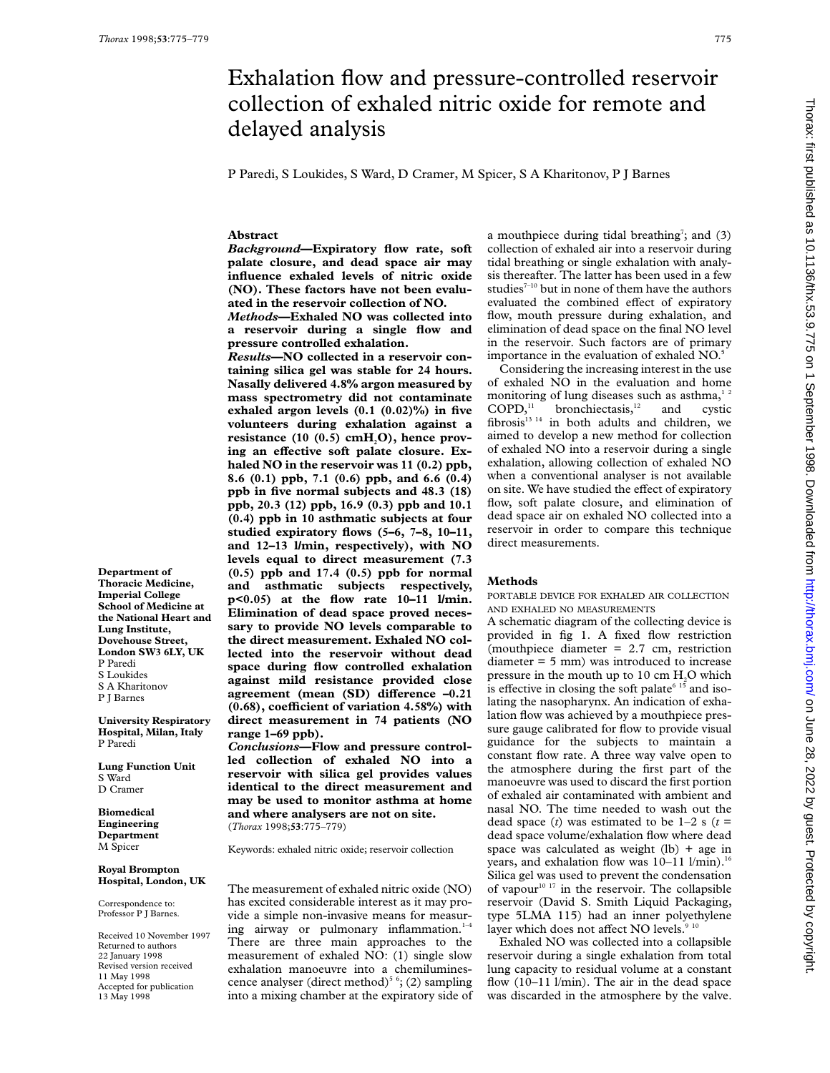# Exhalation flow and pressure-controlled reservoir collection of exhaled nitric oxide for remote and delayed analysis

P Paredi, S Loukides, S Ward, D Cramer, M Spicer, S A Kharitonov, P J Barnes

## **Abstract**

*Background***—Expiratory flow rate, soft palate closure, and dead space air may influence exhaled levels of nitric oxide (NO). These factors have not been evaluated in the reservoir collection of NO.**

*Methods***—Exhaled NO was collected into a reservoir during a single flow and pressure controlled exhalation.**

*Results***—NO collected in a reservoir containing silica gel was stable for 24 hours. Nasally delivered 4.8% argon measured by mass spectrometry did not contaminate exhaled argon levels (0.1 (0.02)%) in five volunteers during exhalation against a** resistance (10 (0.5) cmH<sub>2</sub>O), hence proving an effective soft palate closure. Ex**haled NO in the reservoir was 11 (0.2) ppb, 8.6 (0.1) ppb, 7.1 (0.6) ppb, and 6.6 (0.4) ppb in five normal subjects and 48.3 (18) ppb, 20.3 (12) ppb, 16.9 (0.3) ppb and 10.1 (0.4) ppb in 10 asthmatic subjects at four studied expiratory flows (5–6, 7–8, 10–11, and 12–13 l/min, respectively), with NO levels equal to direct measurement (7.3 (0.5) ppb and 17.4 (0.5) ppb for normal and asthmatic subjects respectively, p<0.05) at the flow rate 10–11 l/min. Elimination of dead space proved necessary to provide NO levels comparable to the direct measurement. Exhaled NO collected into the reservoir without dead space during flow controlled exhalation against mild resistance provided close agreement** (mean (SD) difference  $-0.21$ **(0.68), coeYcient of variation 4.58%) with direct measurement in 74 patients (NO range 1–69 ppb).**

*Conclusions***—Flow and pressure controlled collection of exhaled NO into a reservoir with silica gel provides values identical to the direct measurement and may be used to monitor asthma at home and where analysers are not on site.** (*Thorax* 1998;**53**:775–779)

Keywords: exhaled nitric oxide; reservoir collection

The measurement of exhaled nitric oxide (NO) has excited considerable interest as it may provide a simple non-invasive means for measuring airway or pulmonary inflammation.<sup>1-4</sup> There are three main approaches to the measurement of exhaled NO: (1) single slow exhalation manoeuvre into a chemiluminescence analyser (direct method)<sup>5 6</sup>; (2) sampling into a mixing chamber at the expiratory side of

a mouthpiece during tidal breathing<sup>7</sup>; and (3) collection of exhaled air into a reservoir during tidal breathing or single exhalation with analysis thereafter. The latter has been used in a few studies<sup> $7-10$ </sup> but in none of them have the authors evaluated the combined effect of expiratory flow, mouth pressure during exhalation, and elimination of dead space on the final NO level in the reservoir. Such factors are of primary importance in the evaluation of exhaled NO.<sup>5</sup>

Considering the increasing interest in the use of exhaled NO in the evaluation and home monitoring of lung diseases such as asthma,<sup>12</sup><br>COPD,<sup>11</sup> bronchiectasis,<sup>12</sup> and cystic bronchiectasis,<sup>12</sup> and cystic fibrosis<sup>13 14</sup> in both adults and children, we aimed to develop a new method for collection of exhaled NO into a reservoir during a single exhalation, allowing collection of exhaled NO when a conventional analyser is not available on site. We have studied the effect of expiratory flow, soft palate closure, and elimination of dead space air on exhaled NO collected into a reservoir in order to compare this technique direct measurements.

# **Methods**

PORTABLE DEVICE FOR EXHALED AIR COLLECTION AND EXHALED NO MEASUREMENTS

A schematic diagram of the collecting device is provided in fig 1. A fixed flow restriction (mouthpiece diameter = 2.7 cm, restriction diameter = 5 mm) was introduced to increase pressure in the mouth up to  $10 \text{ cm H}_2$ O which is effective in closing the soft palate<sup> $6\,15$ </sup> and isolating the nasopharynx. An indication of exhalation flow was achieved by a mouthpiece pressure gauge calibrated for flow to provide visual guidance for the subjects to maintain a constant flow rate. A three way valve open to the atmosphere during the first part of the manoeuvre was used to discard the first portion of exhaled air contaminated with ambient and nasal NO. The time needed to wash out the dead space (*t*) was estimated to be  $1-2$  s ( $t =$ dead space volume/exhalation flow where dead space was calculated as weight  $(lb)$  + age in years, and exhalation flow was  $10-11$  l/min).<sup>16</sup> Silica gel was used to prevent the condensation of vapour<sup>10 17</sup> in the reservoir. The collapsible reservoir (David S. Smith Liquid Packaging, type 5LMA 115) had an inner polyethylene layer which does not affect NO levels.<sup>9</sup>

Exhaled NO was collected into a collapsible reservoir during a single exhalation from total lung capacity to residual volume at a constant flow (10–11 l/min). The air in the dead space was discarded in the atmosphere by the valve.

**Department of Thoracic Medicine, Imperial College School of Medicine at the National Heart and Lung Institute, Dovehouse Street, London SW3 6LY, UK** P Paredi S Loukides S A Kharitonov P J Barnes **University Respiratory**

**Hospital, Milan, Italy** P Paredi

**Lung Function Unit** S Ward D Cramer

**Biomedical Engineering Department** M Spicer

## **Royal Brompton Hospital, London, UK**

Correspondence to: Professor P J Barnes.

Received 10 November 1997 Returned to authors 22 January 1998 Revised version received 11 May 1998 Accepted for publication 13 May 1998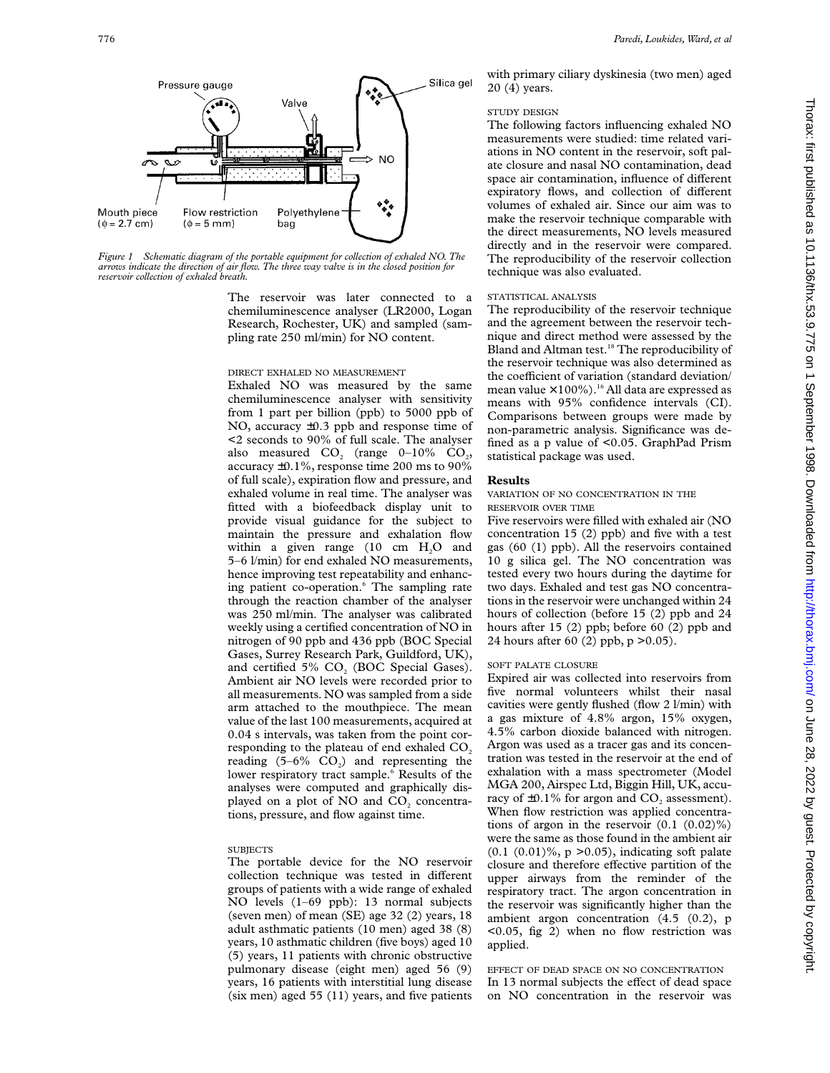

*Figure 1 Schematic diagram of the portable equipment for collection of exhaled NO. The arrows indicate the direction of air flow. The three way valve is in the closed position for reservoir collection of exhaled breath.*

> The reservoir was later connected to a chemiluminescence analyser (LR2000, Logan Research, Rochester, UK) and sampled (sampling rate 250 ml/min) for NO content.

#### DIRECT EXHALED NO MEASUREMENT

Exhaled NO was measured by the same chemiluminescence analyser with sensitivity from 1 part per billion (ppb) to 5000 ppb of NO, accuracy ±0.3 ppb and response time of <2 seconds to 90% of full scale. The analyser also measured  $CO<sub>2</sub>$  (range 0–10%  $CO<sub>2</sub>$ ) accuracy ±0.1%, response time 200 ms to 90% of full scale), expiration flow and pressure, and exhaled volume in real time. The analyser was fitted with a biofeedback display unit to provide visual guidance for the subject to maintain the pressure and exhalation flow within a given range  $(10 \text{ cm } H<sub>2</sub>O)$  and 5–6 l/min) for end exhaled NO measurements, hence improving test repeatability and enhancing patient co-operation.<sup>6</sup> The sampling rate through the reaction chamber of the analyser was 250 ml/min. The analyser was calibrated weekly using a certified concentration of NO in nitrogen of 90 ppb and 436 ppb (BOC Special Gases, Surrey Research Park, Guildford, UK), and certified 5%  $CO<sub>2</sub>$  (BOC Special Gases). Ambient air NO levels were recorded prior to all measurements. NO was sampled from a side arm attached to the mouthpiece. The mean value of the last 100 measurements, acquired at 0.04 s intervals, was taken from the point corresponding to the plateau of end exhaled CO<sub>2</sub> reading  $(5-6\%$  CO<sub>2</sub>) and representing the lower respiratory tract sample.<sup>6</sup> Results of the analyses were computed and graphically displayed on a plot of NO and CO<sub>2</sub> concentrations, pressure, and flow against time.

# **SUBJECTS**

The portable device for the NO reservoir collection technique was tested in different groups of patients with a wide range of exhaled NO levels (1–69 ppb): 13 normal subjects (seven men) of mean (SE) age 32 (2) years, 18 adult asthmatic patients (10 men) aged 38 (8) years, 10 asthmatic children (five boys) aged 10 (5) years, 11 patients with chronic obstructive pulmonary disease (eight men) aged 56 (9) years, 16 patients with interstitial lung disease (six men) aged 55 (11) years, and five patients

with primary ciliary dyskinesia (two men) aged 20 (4) years.

### STUDY DESIGN

The following factors influencing exhaled NO measurements were studied: time related variations in NO content in the reservoir, soft palate closure and nasal NO contamination, dead space air contamination, influence of different expiratory flows, and collection of different volumes of exhaled air. Since our aim was to make the reservoir technique comparable with the direct measurements, NO levels measured directly and in the reservoir were compared. The reproducibility of the reservoir collection technique was also evaluated.

# STATISTICAL ANALYSIS

The reproducibility of the reservoir technique and the agreement between the reservoir technique and direct method were assessed by the Bland and Altman test.<sup>18</sup> The reproducibility of the reservoir technique was also determined as the coefficient of variation (standard deviation/ mean value  $\times$  100%).<sup>16</sup> All data are expressed as means with 95% confidence intervals (CI). Comparisons between groups were made by non-parametric analysis. Significance was defined asapvalue of <0.05. GraphPad Prism statistical package was used.

### **Results**

## VARIATION OF NO CONCENTRATION IN THE RESERVOIR OVER TIME

Five reservoirs were filled with exhaled air (NO concentration 15 (2) ppb) and five with a test gas (60 (1) ppb). All the reservoirs contained 10 g silica gel. The NO concentration was tested every two hours during the daytime for two days. Exhaled and test gas NO concentrations in the reservoir were unchanged within 24 hours of collection (before 15 (2) ppb and 24 hours after 15 (2) ppb; before 60 (2) ppb and 24 hours after 60 (2) ppb, p >0.05).

# SOFT PALATE CLOSURE

Expired air was collected into reservoirs from five normal volunteers whilst their nasal cavities were gently flushed (flow 2 l/min) with a gas mixture of 4.8% argon, 15% oxygen, 4.5% carbon dioxide balanced with nitrogen. Argon was used as a tracer gas and its concentration was tested in the reservoir at the end of exhalation with a mass spectrometer (Model MGA 200, Airspec Ltd, Biggin Hill, UK, accuracy of  $\pm 0.1\%$  for argon and CO<sub>2</sub> assessment). When flow restriction was applied concentrations of argon in the reservoir  $(0.1 \ (0.02)\%)$ were the same as those found in the ambient air  $(0.1 (0.01)\%, p > 0.05)$ , indicating soft palate closure and therefore effective partition of the upper airways from the reminder of the respiratory tract. The argon concentration in the reservoir was significantly higher than the ambient argon concentration (4.5 (0.2), p <0.05, fig 2) when no flow restriction was applied.

EFFECT OF DEAD SPACE ON NO CONCENTRATION In 13 normal subjects the effect of dead space on NO concentration in the reservoir was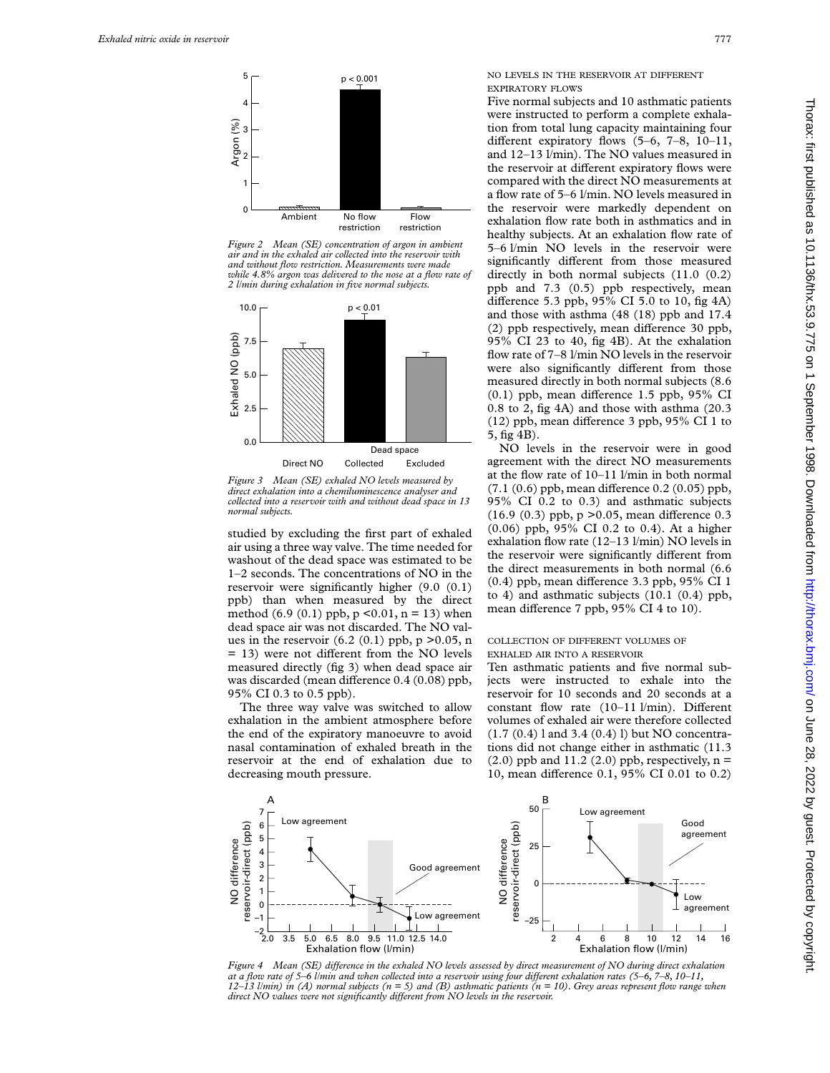

*Figure 2 Mean (SE) concentration of argon in ambient air and in the exhaled air collected into the reservoir with and without flow restriction. Measurements were made while 4.8% argon was delivered to the nose at a flow rate of 2 l/min during exhalation in five normal subjects.*



*Figure 3 Mean (SE) exhaled NO levels measured by direct exhalation into a chemiluminescence analyser and collected into a reservoir with and without dead space in 13 normal subjects.*

studied by excluding the first part of exhaled air using a three way valve. The time needed for washout of the dead space was estimated to be 1–2 seconds. The concentrations of NO in the reservoir were significantly higher (9.0 (0.1) ppb) than when measured by the direct method  $(6.9 (0.1)$  ppb,  $p \le 0.01$ ,  $n = 13$ ) when dead space air was not discarded. The NO values in the reservoir  $(6.2 (0.1)$  ppb, p  $> 0.05$ , n  $= 13$ ) were not different from the NO levels measured directly (fig 3) when dead space air was discarded (mean difference 0.4 (0.08) ppb, 95% CI 0.3 to 0.5 ppb).

The three way valve was switched to allow exhalation in the ambient atmosphere before the end of the expiratory manoeuvre to avoid nasal contamination of exhaled breath in the reservoir at the end of exhalation due to decreasing mouth pressure.

NO LEVELS IN THE RESERVOIR AT DIFFERENT EXPIRATORY FLOWS

Five normal subjects and 10 asthmatic patients were instructed to perform a complete exhalation from total lung capacity maintaining four different expiratory flows  $(5-6, 7-8, 10-11,$ and 12–13 l/min). The NO values measured in the reservoir at different expiratory flows were compared with the direct NO measurements at a flow rate of 5–6 l/min. NO levels measured in the reservoir were markedly dependent on exhalation flow rate both in asthmatics and in healthy subjects. At an exhalation flow rate of 5–6 l/min NO levels in the reservoir were significantly different from those measured directly in both normal subjects (11.0  $(0.2)$ ) ppb and 7.3 (0.5) ppb respectively, mean difference 5.3 ppb,  $95\%$  CI 5.0 to 10, fig 4A) and those with asthma (48 (18) ppb and 17.4 (2) ppb respectively, mean difference 30 ppb, 95% CI 23 to 40, fig 4B). At the exhalation flow rate of 7–8 l/min NO levels in the reservoir were also significantly different from those measured directly in both normal subjects (8.6  $(0.1)$  ppb, mean difference 1.5 ppb, 95% CI 0.8 to 2, fig 4A) and those with asthma (20.3  $(12)$  ppb, mean difference 3 ppb, 95% CI 1 to 5, fig 4B).

NO levels in the reservoir were in good agreement with the direct NO measurements at the flow rate of 10–11 l/min in both normal  $(7.1 (0.6)$  ppb, mean difference  $0.2 (0.05)$  ppb, 95% CI 0.2 to 0.3) and asthmatic subjects  $(16.9 (0.3)$  ppb, p > 0.05, mean difference 0.3 (0.06) ppb, 95% CI 0.2 to 0.4). At a higher exhalation flow rate (12–13 l/min) NO levels in the reservoir were significantly different from the direct measurements in both normal (6.6  $(0.4)$  ppb, mean difference 3.3 ppb, 95% CI 1 to 4) and asthmatic subjects (10.1 (0.4) ppb, mean difference 7 ppb, 95% CI 4 to 10).

# COLLECTION OF DIFFERENT VOLUMES OF EXHALED AIR INTO A RESERVOIR

Ten asthmatic patients and five normal subjects were instructed to exhale into the reservoir for 10 seconds and 20 seconds at a constant flow rate  $(10-11 \text{ l/min})$ . Different volumes of exhaled air were therefore collected (1.7 (0.4) l and 3.4 (0.4) l) but NO concentrations did not change either in asthmatic (11.3  $(2.0)$  ppb and 11.2  $(2.0)$  ppb, respectively, n = 10, mean difference 0.1, 95% CI 0.01 to 0.2)



*Figure 4* Mean (SE) difference in the exhaled NO levels assessed by direct measurement of NO during direct exhalation *at a flow rate of 5–6 l/min and when collected into a reservoir using four diVerent exhalation rates (5–6, 7–8, 10–11, 12–13 l/min) in (A) normal subjects (n = 5) and (B) asthmatic patients (n = 10). Grey areas represent flow range when* direct NO values were not significantly different from NO levels in the reservoir.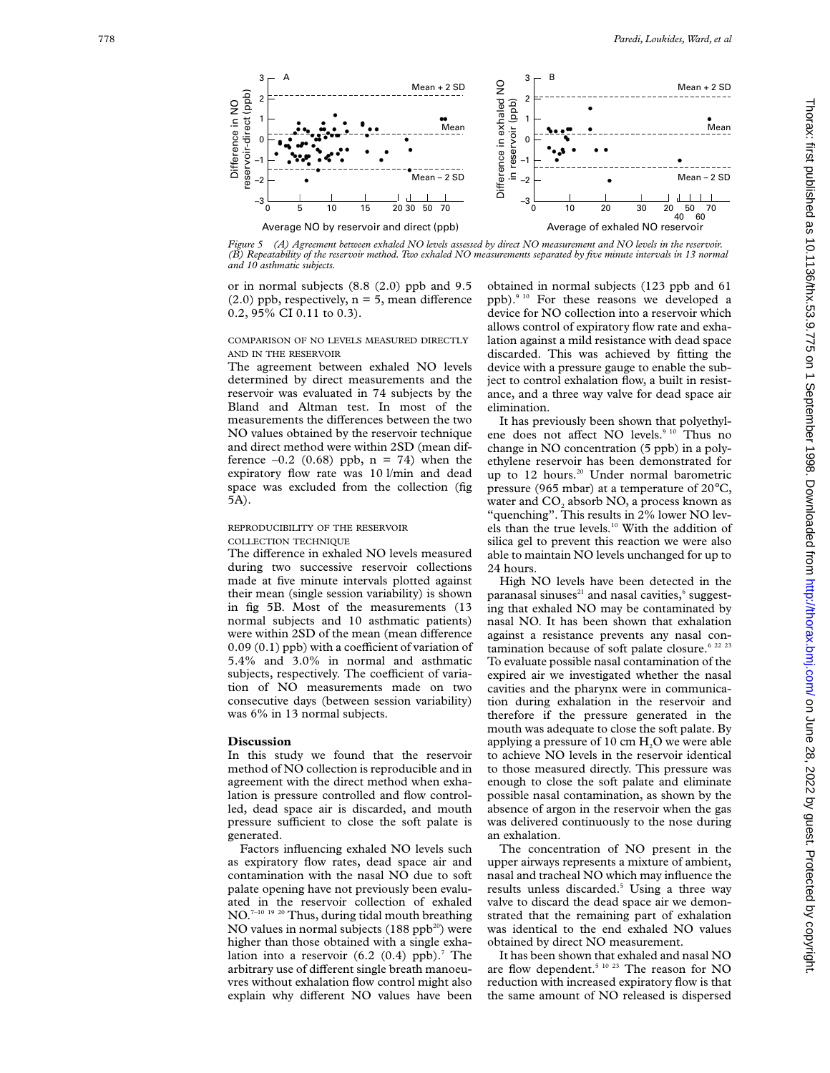

*Figure 5 (A) Agreement between exhaled NO levels assessed by direct NO measurement and NO levels in the reservoir. (B) Repeatability of the reservoir method. Two exhaled NO measurements separated by five minute intervals in 13 normal*

or in normal subjects (8.8 (2.0) ppb and 9.5  $(2.0)$  ppb, respectively,  $n = 5$ , mean difference 0.2, 95% CI 0.11 to 0.3).

COMPARISON OF NO LEVELS MEASURED DIRECTLY AND IN THE RESERVOIR

The agreement between exhaled NO levels determined by direct measurements and the reservoir was evaluated in 74 subjects by the Bland and Altman test. In most of the measurements the differences between the two NO values obtained by the reservoir technique and direct method were within 2SD (mean difference  $-0.2$  (0.68) ppb,  $n = 74$ ) when the expiratory flow rate was 10 l/min and dead space was excluded from the collection (fig 5A).

# REPRODUCIBILITY OF THE RESERVOIR COLLECTION TECHNIQUE

The difference in exhaled NO levels measured during two successive reservoir collections made at five minute intervals plotted against their mean (single session variability) is shown in fig 5B. Most of the measurements (13 normal subjects and 10 asthmatic patients) were within 2SD of the mean (mean difference  $0.09(0.1)$  ppb) with a coefficient of variation of 5.4% and 3.0% in normal and asthmatic subjects, respectively. The coefficient of variation of NO measurements made on two consecutive days (between session variability) was 6% in 13 normal subjects.

#### **Discussion**

In this study we found that the reservoir method of NO collection is reproducible and in agreement with the direct method when exhalation is pressure controlled and flow controlled, dead space air is discarded, and mouth pressure sufficient to close the soft palate is generated.

Factors influencing exhaled NO levels such as expiratory flow rates, dead space air and contamination with the nasal NO due to soft palate opening have not previously been evaluated in the reservoir collection of exhaled NO.<sup>7-10 19 20</sup> Thus, during tidal mouth breathing NO values in normal subjects  $(188$  ppb<sup>20</sup>) were higher than those obtained with a single exhalation into a reservoir  $(6.2 \ (0.4) \text{ pb})$ .<sup>7</sup> The arbitrary use of different single breath manoeuvres without exhalation flow control might also explain why different NO values have been

obtained in normal subjects (123 ppb and 61 ppb).9 10 For these reasons we developed a device for NO collection into a reservoir which allows control of expiratory flow rate and exhalation against a mild resistance with dead space discarded. This was achieved by fitting the device with a pressure gauge to enable the subject to control exhalation flow, a built in resistance, and a three way valve for dead space air elimination.

It has previously been shown that polyethylene does not affect NO levels.<sup>9 10</sup> Thus no change in NO concentration (5 ppb) in a polyethylene reservoir has been demonstrated for up to 12 hours.<sup>20</sup> Under normal barometric pressure (965 mbar) at a temperature of 20°C, water and  $\mathrm{CO}_2$  absorb NO, a process known as "quenching". This results in 2% lower NO levels than the true levels.<sup>10</sup> With the addition of silica gel to prevent this reaction we were also able to maintain NO levels unchanged for up to 24 hours.

High NO levels have been detected in the paranasal sinuses $^{\scriptscriptstyle 21}$  and nasal cavities, $^{\scriptscriptstyle 6}$  suggesting that exhaled NO may be contaminated by nasal NO. It has been shown that exhalation against a resistance prevents any nasal contamination because of soft palate closure.<sup>6 22 23</sup> To evaluate possible nasal contamination of the expired air we investigated whether the nasal cavities and the pharynx were in communication during exhalation in the reservoir and therefore if the pressure generated in the mouth was adequate to close the soft palate. By applying a pressure of  $10 \text{ cm } \text{H}_2\text{O}$  we were able to achieve NO levels in the reservoir identical to those measured directly. This pressure was enough to close the soft palate and eliminate possible nasal contamination, as shown by the absence of argon in the reservoir when the gas was delivered continuously to the nose during an exhalation.

The concentration of NO present in the upper airways represents a mixture of ambient, nasal and tracheal NO which may influence the results unless discarded. <sup>5</sup> Using a three way valve to discard the dead space air we demonstrated that the remaining part of exhalation was identical to the end exhaled NO values obtained by direct NO measurement.

It has been shown that exhaled and nasal NO are flow dependent.<sup>5 10 23</sup> The reason for NO reduction with increased expiratory flow is that the same amount of NO released is dispersed